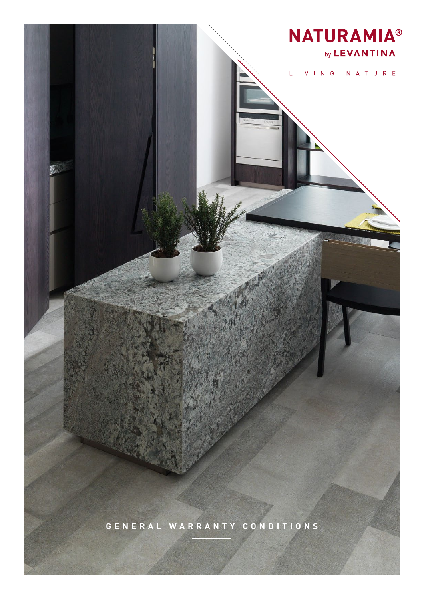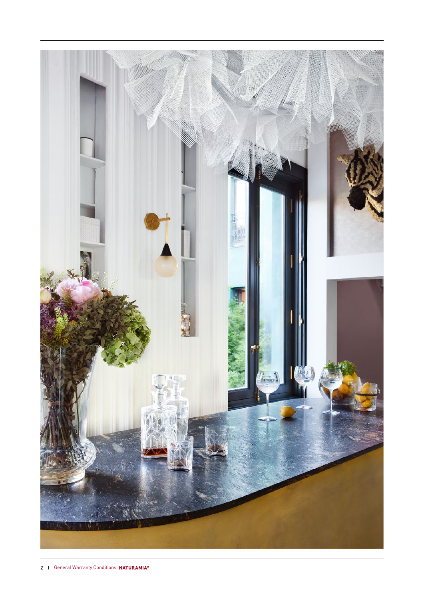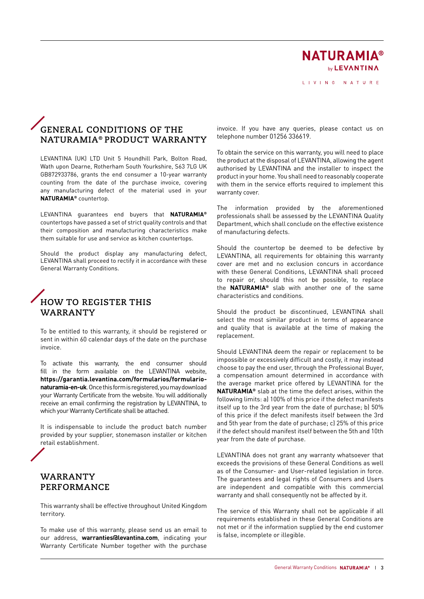

LIVING NATURE

## **GENERAL CONDITIONS OF THE NATURAMIA® PRODUCT WARRANTY**

LEVANTINA (UK) LTD Unit 5 Houndhill Park, Bolton Road, Wath upon Dearne, Rotherham South Yourkshire, S63 7LG UK GB872933786, grants the end consumer a 10-year warranty counting from the date of the purchase invoice, covering any manufacturing defect of the material used in your **NATURAMIA®** countertop.

LEVANTINA guarantees end buyers that **NATURAMIA®** countertops have passed a set of strict quality controls and that their composition and manufacturing characteristics make them suitable for use and service as kitchen countertops.

Should the product display any manufacturing defect, LEVANTINA shall proceed to rectify it in accordance with these General Warranty Conditions.



To be entitled to this warranty, it should be registered or sent in within 60 calendar days of the date on the purchase invoice.

To activate this warranty, the end consumer should fill in the form available on the LEVANTINA website, **https://garantia.levantina.com/formularios/formularionaturamia-en-uk**. Once this form is registered, you may download your Warranty Certificate from the website. You will additionally receive an email confirming the registration by LEVANTINA, to which your Warranty Certificate shall be attached.

It is indispensable to include the product batch number provided by your supplier, stonemason installer or kitchen retail establishment.

## **WARRANTY PERFORMANCE**

This warranty shall be effective throughout United Kingdom territory.

To make use of this warranty, please send us an email to our address, **warranties@levantina.com**, indicating your Warranty Certificate Number together with the purchase invoice. If you have any queries, please contact us on telephone number 01256 336619.

To obtain the service on this warranty, you will need to place the product at the disposal of LEVANTINA, allowing the agent authorised by LEVANTINA and the installer to inspect the product in your home. You shall need to reasonably cooperate with them in the service efforts required to implement this warranty cover.

The information provided by the aforementioned professionals shall be assessed by the LEVANTINA Quality Department, which shall conclude on the effective existence of manufacturing defects.

Should the countertop be deemed to be defective by LEVANTINA, all requirements for obtaining this warranty cover are met and no exclusion concurs in accordance with these General Conditions, LEVANTINA shall proceed to repair or, should this not be possible, to replace the **NATURAMIA®** slab with another one of the same characteristics and conditions.

Should the product be discontinued, LEVANTINA shall select the most similar product in terms of appearance and quality that is available at the time of making the replacement.

Should LEVANTINA deem the repair or replacement to be impossible or excessively difficult and costly, it may instead choose to pay the end user, through the Professional Buyer, a compensation amount determined in accordance with the average market price offered by LEVANTINA for the **NATURAMIA®** slab at the time the defect arises, within the following limits: a) 100% of this price if the defect manifests itself up to the 3rd year from the date of purchase; b) 50% of this price if the defect manifests itself between the 3rd and 5th year from the date of purchase; c) 25% of this price if the defect should manifest itself between the 5th and 10th year from the date of purchase.

LEVANTINA does not grant any warranty whatsoever that exceeds the provisions of these General Conditions as well as of the Consumer- and User-related legislation in force. The guarantees and legal rights of Consumers and Users are independent and compatible with this commercial warranty and shall consequently not be affected by it.

The service of this Warranty shall not be applicable if all requirements established in these General Conditions are not met or if the information supplied by the end customer is false, incomplete or illegible.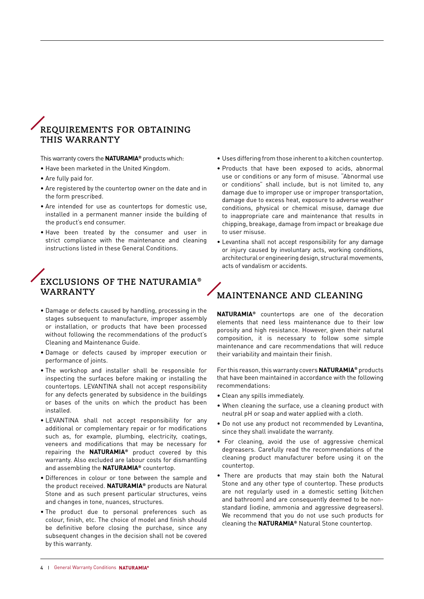# **REQUIREMENTS FOR OBTAINING THIS WARRANTY**

This warranty covers the **NATURAMIA®** products which:

- Have been marketed in the United Kingdom.
- Are fully paid for.
- Are registered by the countertop owner on the date and in the form prescribed.
- Are intended for use as countertops for domestic use, installed in a permanent manner inside the building of the product's end consumer.
- Have been treated by the consumer and user in strict compliance with the maintenance and cleaning instructions listed in these General Conditions.

# **EXCLUSIONS OF THE NATURAMIA® WARRANTY**

- Damage or defects caused by handling, processing in the stages subsequent to manufacture, improper assembly or installation, or products that have been processed without following the recommendations of the product's Cleaning and Maintenance Guide.
- Damage or defects caused by improper execution or performance of joints.
- The workshop and installer shall be responsible for inspecting the surfaces before making or installing the countertops. LEVANTINA shall not accept responsibility for any defects generated by subsidence in the buildings or bases of the units on which the product has been installed.
- LEVANTINA shall not accept responsibility for any additional or complementary repair or for modifications such as, for example, plumbing, electricity, coatings, veneers and modifications that may be necessary for repairing the **NATURAMIA®** product covered by this warranty. Also excluded are labour costs for dismantling and assembling the **NATURAMIA®** countertop.
- Differences in colour or tone between the sample and the product received. **NATURAMIA®** products are Natural Stone and as such present particular structures, veins and changes in tone, nuances, structures.
- The product due to personal preferences such as colour, finish, etc. The choice of model and finish should be definitive before closing the purchase, since any subsequent changes in the decision shall not be covered by this warranty.
- Uses differing from those inherent to a kitchen countertop.
- Products that have been exposed to acids, abnormal use or conditions or any form of misuse. "Abnormal use or conditions" shall include, but is not limited to, any damage due to improper use or improper transportation, damage due to excess heat, exposure to adverse weather conditions, physical or chemical misuse, damage due to inappropriate care and maintenance that results in chipping, breakage, damage from impact or breakage due to user misuse.
- Levantina shall not accept responsibility for any damage or injury caused by involuntary acts, working conditions, architectural or engineering design, structural movements, acts of vandalism or accidents.

## **MAINTENANCE AND CLEANING**

**NATURAMIA®** countertops are one of the decoration elements that need less maintenance due to their low porosity and high resistance. However, given their natural composition, it is necessary to follow some simple maintenance and care recommendations that will reduce their variability and maintain their finish.

For this reason, this warranty covers **NATURAMIA®** products that have been maintained in accordance with the following recommendations:

- Clean any spills immediately.
- When cleaning the surface, use a cleaning product with neutral pH or soap and water applied with a cloth.
- Do not use any product not recommended by Levantina, since they shall invalidate the warranty.
- For cleaning, avoid the use of aggressive chemical degreasers. Carefully read the recommendations of the cleaning product manufacturer before using it on the countertop.
- There are products that may stain both the Natural Stone and any other type of countertop. These products are not regularly used in a domestic setting (kitchen and bathroom) and are consequently deemed to be nonstandard (iodine, ammonia and aggressive degreasers). We recommend that you do not use such products for cleaning the **NATURAMIA®** Natural Stone countertop.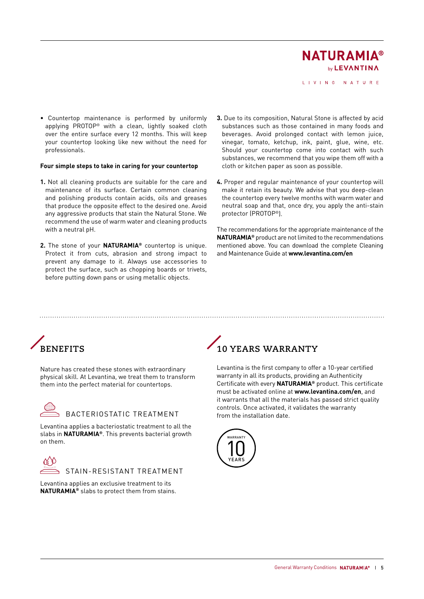**NATURAMIA®** by **LEVANTINA** 

LIVING NATURE

• Countertop maintenance is performed by uniformly applying PROTOP® with a clean, lightly soaked cloth over the entire surface every 12 months. This will keep your countertop looking like new without the need for professionals.

#### **Four simple steps to take in caring for your countertop**

- **1.** Not all cleaning products are suitable for the care and maintenance of its surface. Certain common cleaning and polishing products contain acids, oils and greases that produce the opposite effect to the desired one. Avoid any aggressive products that stain the Natural Stone. We recommend the use of warm water and cleaning products with a neutral pH.
- **2.** The stone of your **NATURAMIA®** countertop is unique. Protect it from cuts, abrasion and strong impact to prevent any damage to it. Always use accessories to protect the surface, such as chopping boards or trivets, before putting down pans or using metallic objects.
- **3.** Due to its composition, Natural Stone is affected by acid substances such as those contained in many foods and beverages. Avoid prolonged contact with lemon juice, vinegar, tomato, ketchup, ink, paint, glue, wine, etc. Should your countertop come into contact with such substances, we recommend that you wipe them off with a cloth or kitchen paper as soon as possible.
- **4.** Proper and regular maintenance of your countertop will make it retain its beauty. We advise that you deep-clean the countertop every twelve months with warm water and neutral soap and that, once dry, you apply the anti-stain protector (PROTOP®).

The recommendations for the appropriate maintenance of the **NATURAMIA®** product are not limited to the recommendations mentioned above. You can download the complete Cleaning and Maintenance Guide at **www.levantina.com/en**

# **BENEFITS**

Nature has created these stones with extraordinary physical skill. At Levantina, we treat them to transform them into the perfect material for countertops.



### BACTERIOSTATIC TREATMENT

Levantina applies a bacteriostatic treatment to all the slabs in **NATURAMIA®**. This prevents bacterial growth on them.



## STAIN-RESISTANT TREATMENT

Levantina applies an exclusive treatment to its **NATURAMIA®** slabs to protect them from stains.

# **10 YEARS WARRANTY**

Levantina is the first company to offer a 10-year certified warranty in all its products, providing an Authenticity Certificate with every **NATURAMIA®** product. This certificate must be activated online at **www.levantina.com/en**, and it warrants that all the materials has passed strict quality controls. Once activated, it validates the warranty from the installation date.